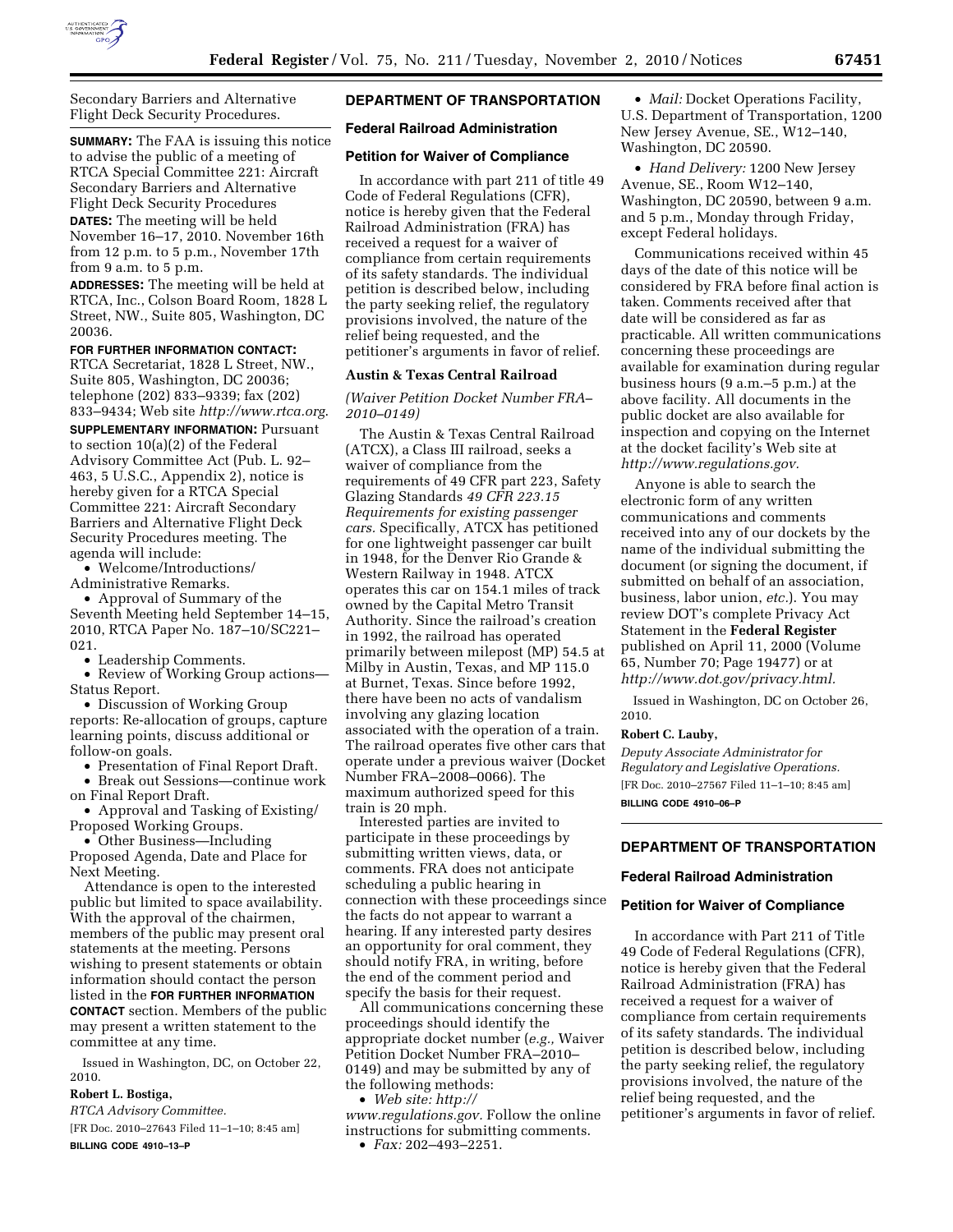

Secondary Barriers and Alternative Flight Deck Security Procedures.

**SUMMARY:** The FAA is issuing this notice to advise the public of a meeting of RTCA Special Committee 221: Aircraft Secondary Barriers and Alternative Flight Deck Security Procedures **DATES:** The meeting will be held November 16–17, 2010. November 16th from 12 p.m. to 5 p.m., November 17th from 9 a.m. to 5 p.m.

**ADDRESSES:** The meeting will be held at RTCA, Inc., Colson Board Room, 1828 L Street, NW., Suite 805, Washington, DC 20036.

# **FOR FURTHER INFORMATION CONTACT:**

RTCA Secretariat, 1828 L Street, NW., Suite 805, Washington, DC 20036; telephone (202) 833–9339; fax (202) 833–9434; Web site *http://www.rtca.org*.

**SUPPLEMENTARY INFORMATION: Pursuant** to section 10(a)(2) of the Federal Advisory Committee Act (Pub. L. 92– 463, 5 U.S.C., Appendix 2), notice is hereby given for a RTCA Special Committee 221: Aircraft Secondary Barriers and Alternative Flight Deck Security Procedures meeting. The agenda will include:

• Welcome/Introductions/

Administrative Remarks.

• Approval of Summary of the Seventh Meeting held September 14–15, 2010, RTCA Paper No. 187–10/SC221– 021.

• Leadership Comments.

• Review of Working Group actions— Status Report.

• Discussion of Working Group reports: Re-allocation of groups, capture learning points, discuss additional or follow-on goals.

• Presentation of Final Report Draft.

• Break out Sessions—continue work

on Final Report Draft. • Approval and Tasking of Existing/ Proposed Working Groups.

• Other Business—Including Proposed Agenda, Date and Place for Next Meeting.

Attendance is open to the interested public but limited to space availability. With the approval of the chairmen, members of the public may present oral statements at the meeting. Persons wishing to present statements or obtain information should contact the person listed in the **FOR FURTHER INFORMATION CONTACT** section. Members of the public may present a written statement to the committee at any time.

Issued in Washington, DC, on October 22, 2010.

# **Robert L. Bostiga,**

*RTCA Advisory Committee.* 

[FR Doc. 2010–27643 Filed 11–1–10; 8:45 am] **BILLING CODE 4910–13–P** 

# **DEPARTMENT OF TRANSPORTATION**

#### **Federal Railroad Administration**

#### **Petition for Waiver of Compliance**

In accordance with part 211 of title 49 Code of Federal Regulations (CFR), notice is hereby given that the Federal Railroad Administration (FRA) has received a request for a waiver of compliance from certain requirements of its safety standards. The individual petition is described below, including the party seeking relief, the regulatory provisions involved, the nature of the relief being requested, and the petitioner's arguments in favor of relief.

### **Austin & Texas Central Railroad**

# *(Waiver Petition Docket Number FRA– 2010–0149)*

The Austin & Texas Central Railroad (ATCX), a Class III railroad, seeks a waiver of compliance from the requirements of 49 CFR part 223, Safety Glazing Standards *49 CFR 223.15 Requirements for existing passenger cars.* Specifically, ATCX has petitioned for one lightweight passenger car built in 1948, for the Denver Rio Grande & Western Railway in 1948. ATCX operates this car on 154.1 miles of track owned by the Capital Metro Transit Authority. Since the railroad's creation in 1992, the railroad has operated primarily between milepost (MP) 54.5 at Milby in Austin, Texas, and MP 115.0 at Burnet, Texas. Since before 1992, there have been no acts of vandalism involving any glazing location associated with the operation of a train. The railroad operates five other cars that operate under a previous waiver (Docket Number FRA–2008–0066). The maximum authorized speed for this train is 20 mph.

Interested parties are invited to participate in these proceedings by submitting written views, data, or comments. FRA does not anticipate scheduling a public hearing in connection with these proceedings since the facts do not appear to warrant a hearing. If any interested party desires an opportunity for oral comment, they should notify FRA, in writing, before the end of the comment period and specify the basis for their request.

All communications concerning these proceedings should identify the appropriate docket number (*e.g.,* Waiver Petition Docket Number FRA–2010– 0149) and may be submitted by any of the following methods:

• *Web site: http://* 

*www.regulations.gov.* Follow the online instructions for submitting comments. • *Fax:* 202–493–2251.

• *Mail:* Docket Operations Facility, U.S. Department of Transportation, 1200 New Jersey Avenue, SE., W12–140, Washington, DC 20590.

• *Hand Delivery:* 1200 New Jersey Avenue, SE., Room W12–140, Washington, DC 20590, between 9 a.m. and 5 p.m., Monday through Friday, except Federal holidays.

Communications received within 45 days of the date of this notice will be considered by FRA before final action is taken. Comments received after that date will be considered as far as practicable. All written communications concerning these proceedings are available for examination during regular business hours (9 a.m.–5 p.m.) at the above facility. All documents in the public docket are also available for inspection and copying on the Internet at the docket facility's Web site at *http://www.regulations.gov.* 

Anyone is able to search the electronic form of any written communications and comments received into any of our dockets by the name of the individual submitting the document (or signing the document, if submitted on behalf of an association, business, labor union, *etc.*). You may review DOT's complete Privacy Act Statement in the **Federal Register**  published on April 11, 2000 (Volume 65, Number 70; Page 19477) or at *http://www.dot.gov/privacy.html.* 

Issued in Washington, DC on October 26, 2010.

#### **Robert C. Lauby,**

*Deputy Associate Administrator for Regulatory and Legislative Operations.*  [FR Doc. 2010–27567 Filed 11–1–10; 8:45 am] **BILLING CODE 4910–06–P** 

# **DEPARTMENT OF TRANSPORTATION**

#### **Federal Railroad Administration**

#### **Petition for Waiver of Compliance**

In accordance with Part 211 of Title 49 Code of Federal Regulations (CFR), notice is hereby given that the Federal Railroad Administration (FRA) has received a request for a waiver of compliance from certain requirements of its safety standards. The individual petition is described below, including the party seeking relief, the regulatory provisions involved, the nature of the relief being requested, and the petitioner's arguments in favor of relief.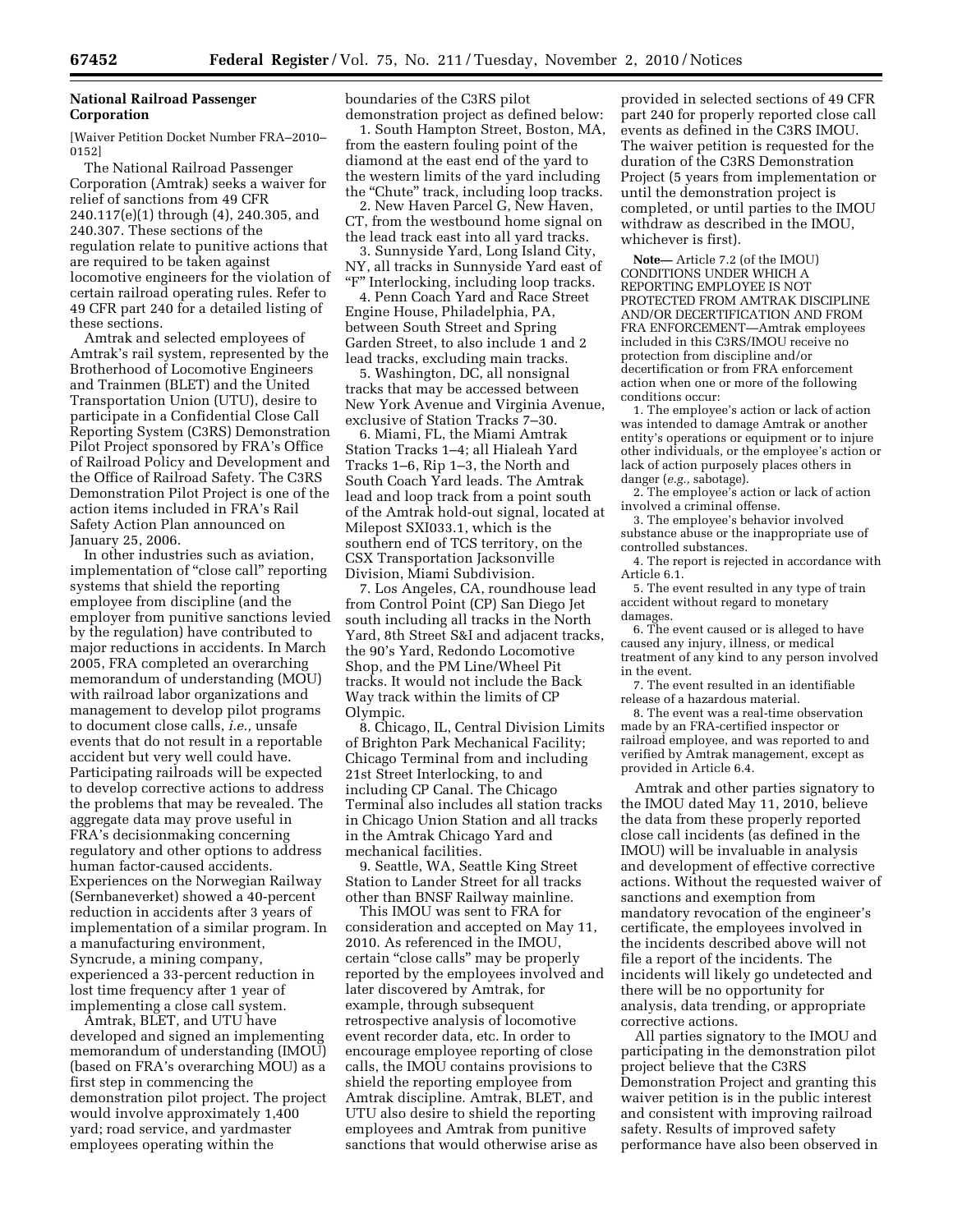# **National Railroad Passenger Corporation**

[Waiver Petition Docket Number FRA–2010– 0152]

The National Railroad Passenger Corporation (Amtrak) seeks a waiver for relief of sanctions from 49 CFR 240.117(e)(1) through (4), 240.305, and 240.307. These sections of the regulation relate to punitive actions that are required to be taken against locomotive engineers for the violation of certain railroad operating rules. Refer to 49 CFR part 240 for a detailed listing of these sections.

Amtrak and selected employees of Amtrak's rail system, represented by the Brotherhood of Locomotive Engineers and Trainmen (BLET) and the United Transportation Union (UTU), desire to participate in a Confidential Close Call Reporting System (C3RS) Demonstration Pilot Project sponsored by FRA's Office of Railroad Policy and Development and the Office of Railroad Safety. The C3RS Demonstration Pilot Project is one of the action items included in FRA's Rail Safety Action Plan announced on January 25, 2006.

In other industries such as aviation, implementation of "close call" reporting systems that shield the reporting employee from discipline (and the employer from punitive sanctions levied by the regulation) have contributed to major reductions in accidents. In March 2005, FRA completed an overarching memorandum of understanding (MOU) with railroad labor organizations and management to develop pilot programs to document close calls, *i.e.,* unsafe events that do not result in a reportable accident but very well could have. Participating railroads will be expected to develop corrective actions to address the problems that may be revealed. The aggregate data may prove useful in FRA's decisionmaking concerning regulatory and other options to address human factor-caused accidents. Experiences on the Norwegian Railway (Sernbaneverket) showed a 40-percent reduction in accidents after 3 years of implementation of a similar program. In a manufacturing environment, Syncrude, a mining company, experienced a 33-percent reduction in lost time frequency after 1 year of implementing a close call system.

Amtrak, BLET, and UTU have developed and signed an implementing memorandum of understanding (IMOU) (based on FRA's overarching MOU) as a first step in commencing the demonstration pilot project. The project would involve approximately 1,400 yard; road service, and yardmaster employees operating within the

boundaries of the C3RS pilot demonstration project as defined below:

1. South Hampton Street, Boston, MA, from the eastern fouling point of the diamond at the east end of the yard to the western limits of the yard including the "Chute" track, including loop tracks.

2. New Haven Parcel G, New Haven, CT, from the westbound home signal on the lead track east into all yard tracks.

3. Sunnyside Yard, Long Island City, NY, all tracks in Sunnyside Yard east of "F" Interlocking, including loop tracks.

4. Penn Coach Yard and Race Street Engine House, Philadelphia, PA, between South Street and Spring Garden Street, to also include 1 and 2 lead tracks, excluding main tracks.

5. Washington, DC, all nonsignal tracks that may be accessed between New York Avenue and Virginia Avenue, exclusive of Station Tracks 7–30.

6. Miami, FL, the Miami Amtrak Station Tracks 1–4; all Hialeah Yard Tracks 1–6, Rip 1–3, the North and South Coach Yard leads. The Amtrak lead and loop track from a point south of the Amtrak hold-out signal, located at Milepost SXI033.1, which is the southern end of TCS territory, on the CSX Transportation Jacksonville Division, Miami Subdivision.

7. Los Angeles, CA, roundhouse lead from Control Point (CP) San Diego Jet south including all tracks in the North Yard, 8th Street S&I and adjacent tracks, the 90's Yard, Redondo Locomotive Shop, and the PM Line/Wheel Pit tracks. It would not include the Back Way track within the limits of CP Olympic.

8. Chicago, IL, Central Division Limits of Brighton Park Mechanical Facility; Chicago Terminal from and including 21st Street Interlocking, to and including CP Canal. The Chicago Terminal also includes all station tracks in Chicago Union Station and all tracks in the Amtrak Chicago Yard and mechanical facilities.

9. Seattle, WA, Seattle King Street Station to Lander Street for all tracks other than BNSF Railway mainline.

This IMOU was sent to FRA for consideration and accepted on May 11, 2010. As referenced in the IMOU, certain ''close calls'' may be properly reported by the employees involved and later discovered by Amtrak, for example, through subsequent retrospective analysis of locomotive event recorder data, etc. In order to encourage employee reporting of close calls, the IMOU contains provisions to shield the reporting employee from Amtrak discipline. Amtrak, BLET, and UTU also desire to shield the reporting employees and Amtrak from punitive sanctions that would otherwise arise as

provided in selected sections of 49 CFR part 240 for properly reported close call events as defined in the C3RS IMOU. The waiver petition is requested for the duration of the C3RS Demonstration Project (5 years from implementation or until the demonstration project is completed, or until parties to the IMOU withdraw as described in the IMOU, whichever is first).

**Note—** Article 7.2 (of the IMOU) CONDITIONS UNDER WHICH A REPORTING EMPLOYEE IS NOT PROTECTED FROM AMTRAK DISCIPLINE AND/OR DECERTIFICATION AND FROM FRA ENFORCEMENT—Amtrak employees included in this C3RS/IMOU receive no protection from discipline and/or decertification or from FRA enforcement action when one or more of the following conditions occur:

1. The employee's action or lack of action was intended to damage Amtrak or another entity's operations or equipment or to injure other individuals, or the employee's action or lack of action purposely places others in danger (*e.g.,* sabotage).

2. The employee's action or lack of action involved a criminal offense.

3. The employee's behavior involved substance abuse or the inappropriate use of controlled substances.

4. The report is rejected in accordance with Article 6.1.

5. The event resulted in any type of train accident without regard to monetary damages.

6. The event caused or is alleged to have caused any injury, illness, or medical treatment of any kind to any person involved in the event.

7. The event resulted in an identifiable release of a hazardous material.

8. The event was a real-time observation made by an FRA-certified inspector or railroad employee, and was reported to and verified by Amtrak management, except as provided in Article 6.4.

Amtrak and other parties signatory to the IMOU dated May 11, 2010, believe the data from these properly reported close call incidents (as defined in the IMOU) will be invaluable in analysis and development of effective corrective actions. Without the requested waiver of sanctions and exemption from mandatory revocation of the engineer's certificate, the employees involved in the incidents described above will not file a report of the incidents. The incidents will likely go undetected and there will be no opportunity for analysis, data trending, or appropriate corrective actions.

All parties signatory to the IMOU and participating in the demonstration pilot project believe that the C3RS Demonstration Project and granting this waiver petition is in the public interest and consistent with improving railroad safety. Results of improved safety performance have also been observed in